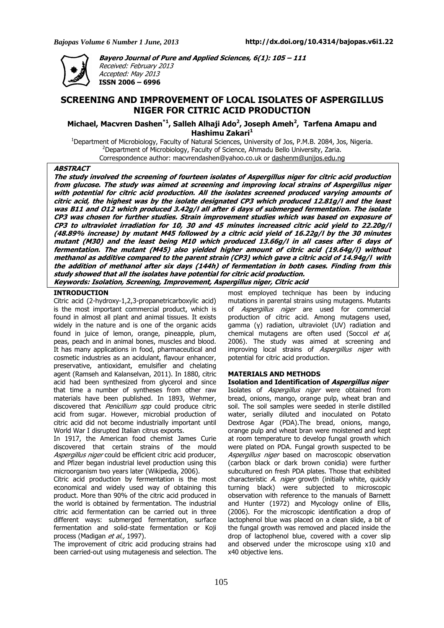

**Bayero Journal of Pure and Applied Sciences, 6(1): 105 – 111**  Received: February 2013 Accepted: May 2013 **ISSN 2006 – 6996** 

# **SCREENING AND IMPROVEMENT OF LOCAL ISOLATES OF ASPERGILLUS NIGER FOR CITRIC ACID PRODUCTION**

**Michael, Macvren Dashen\*1, Salleh Alhaji Ado<sup>2</sup> , Joseph Ameh<sup>2</sup> , Tarfena Amapu and Hashimu Zakari<sup>1</sup>**

<sup>1</sup>Department of Microbiology, Faculty of Natural Sciences, University of Jos, P.M.B. 2084, Jos, Nigeria. <sup>2</sup>Department of Microbiology, Faculty of Science, Ahmadu Bello University, Zaria. Correspondence author: macvrendashen@yahoo.co.uk or dashenm@unijos.edu.ng

### **ABSTRACT**

**The study involved the screening of fourteen isolates of Aspergillus niger for citric acid production from glucose. The study was aimed at screening and improving local strains of Aspergillus niger with potential for citric acid production. All the isolates screened produced varying amounts of citric acid, the highest was by the isolate designated CP3 which produced 12.81g/l and the least was B11 and O12 which produced 3.42g/l all after 6 days of submerged fermentation. The isolate CP3 was chosen for further studies. Strain improvement studies which was based on exposure of CP3 to ultraviolet irradiation for 10, 30 and 45 minutes increased citric acid yield to 22.20g/l (48.89% increase) by mutant M45 followed by a citric acid yield of 16.22g/l by the 30 minutes mutant (M30) and the least being M10 which produced 13.66g/l in all cases after 6 days of fermentation. The mutant (M45) also yielded higher amount of citric acid (19.64g/l) without methanol as additive compared to the parent strain (CP3) which gave a citric acid of 14.94g/l with the addition of methanol after six days (144h) of fermentation in both cases. Finding from this study showed that all the isolates have potential for citric acid production. Keywords: Isolation, Screening, Improvement, Aspergillus niger, Citric acid** 

# **INTRODUCTION**

Citric acid (2-hydroxy-1,2,3-propanetricarboxylic acid) is the most important commercial product, which is found in almost all plant and animal tissues. It exists widely in the nature and is one of the organic acids found in juice of lemon, orange, pineapple, plum, peas, peach and in animal bones, muscles and blood. It has many applications in food, pharmaceutical and cosmetic industries as an acidulant, flavour enhancer, preservative, antioxidant, emulsifier and chelating agent (Ramseh and Kalanselvan, 2011). In 1880, citric acid had been synthesized from glycerol and since that time a number of syntheses from other raw materials have been published. In 1893, Wehmer, discovered that *Penicillium spp* could produce citric acid from sugar. However, microbial production of citric acid did not become industrially important until World War I disrupted Italian citrus exports.

In 1917, the American food chemist James Curie discovered that certain strains of the mould Aspergillus niger could be efficient citric acid producer, and Pfizer began industrial level production using this microorganism two years later (Wikipedia, 2006).

Citric acid production by fermentation is the most economical and widely used way of obtaining this product. More than 90% of the citric acid produced in the world is obtained by fermentation. The industrial citric acid fermentation can be carried out in three different ways: submerged fermentation, surface fermentation and solid-state fermentation or Koji process (Madigan et al., 1997).

The improvement of citric acid producing strains had been carried-out using mutagenesis and selection. The most employed technique has been by inducing mutations in parental strains using mutagens. Mutants of Aspergillus niger are used for commercial production of citric acid. Among mutagens used, gamma (γ) radiation, ultraviolet (UV) radiation and chemical mutagens are often used (Soccol et al, 2006). The study was aimed at screening and improving local strains of Aspergillus niger with potential for citric acid production.

### **MATERIALS AND METHODS**

**Isolation and Identification of Aspergillus niger**  Isolates of Aspergillus niger were obtained from bread, onions, mango, orange pulp, wheat bran and soil. The soil samples were seeded in sterile distilled water, serially diluted and inoculated on Potato Dextrose Agar (PDA).The bread, onions, mango, orange pulp and wheat bran were moistened and kept at room temperature to develop fungal growth which were plated on PDA. Fungal growth suspected to be Aspergillus niger based on macroscopic observation (carbon black or dark brown conidia) were further subcultured on fresh PDA plates. Those that exhibited characteristic A. *niger* growth (initially white, quickly turning black) were subjected to microscopic observation with reference to the manuals of Barnett and Hunter (1972) and Mycology online of Ellis, (2006). For the microscopic identification a drop of lactophenol blue was placed on a clean slide, a bit of the fungal growth was removed and placed inside the drop of lactophenol blue, covered with a cover slip and observed under the microscope using x10 and x40 objective lens.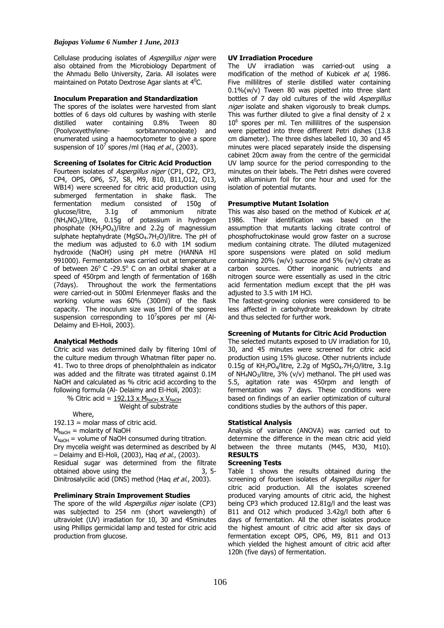# *Bajopas Volume 6 Number 1 June, 2013*

Cellulase producing isolates of Aspergillus niger were also obtained from the Microbiology Department of the Ahmadu Bello University, Zaria. All isolates were maintained on Potato Dextrose Agar slants at 4<sup>0</sup>C.

# **Inoculum Preparation and Standardization**

The spores of the isolates were harvested from slant bottles of 6 days old cultures by washing with sterile distilled water containing 0.8% Tween 80 (Poolyoxyethylene- sorbitanmonooleate) and enumerated using a haemocytometer to give a spore suspension of 10<sup>7</sup> spores/ml (Haq *et al.*, (2003).

# **Screening of Isolates for Citric Acid Production**

Fourteen isolates of Aspergillus niger (CP1, CP2, CP3, CP4, OP5, OP6, S7, S8, M9, B10, B11,O12, O13, WB14) were screened for citric acid production using submerged fermentation in shake flask. The fermentation medium consisted of 150g of glucose/litre, 3.1g of ammonium nitrate (NH4NO3)/litre, 0.15g of potassium in hydrogen phosphate  $(KH_2PO_4)/$ litre and 2.2q of magnessium sulphate heptahydrate (MgSO<sub>4</sub>.7H<sub>2</sub>O)/litre. The pH of the medium was adjusted to 6.0 with 1M sodium hydroxide (NaOH) using pH metre (HANNA HI 991000). Fermentation was carried out at temperature of between  $26^{\circ}$  C -29.5 $^{\circ}$  C on an orbital shaker at a speed of 450rpm and length of fermentation of 168h (7days). Throughout the work the fermentations were carried-out in 500ml Erlenmeyer flasks and the working volume was 60% (300ml) of the flask capacity. The inoculum size was 10ml of the spores suspension corresponding to 10<sup>7</sup>spores per ml (Al-Delaimy and El-Holi, 2003).

### **Analytical Methods**

Citric acid was determined daily by filtering 10ml of the culture medium through Whatman filter paper no. 41. Two to three drops of phenolphthalein as indicator was added and the filtrate was titrated against 0.1M NaOH and calculated as % citric acid according to the following formula (Al- Delaimy and El-Holi, 2003):

% Citric acid =  $192.13 \times M_{\text{NaOH}} \times V_{\text{NaOH}}$ Weight of substrate

Where,

192.13 = molar mass of citric acid.

 $M_{NaOH}$  = molarity of NaOH

 $V_{\text{NaOH}}$  = volume of NaOH consumed during titration. Dry mycelia weight was determined as described by Al - Delaimy and El-Holi, (2003), Haq et al., (2003). Residual sugar was determined from the filtrate obtained above using the 3, 5-

Dinitrosalycilic acid (DNS) method (Hag et al., 2003).

### **Preliminary Strain Improvement Studies**

The spore of the wild *Aspergillus niger* isolate (CP3) was subjected to 254 nm (short wavelength) of ultraviolet (UV) irradiation for 10, 30 and 45minutes using Phillips germicidal lamp and tested for citric acid production from glucose.

### **UV Irradiation Procedure**

The UV irradiation was carried-out using a modification of the method of Kubicek et al, 1986. Five millilitres of sterile distilled water containing 0.1%(w/v) Tween 80 was pipetted into three slant bottles of 7 day old cultures of the wild Aspergillus niger isolate and shaken vigorously to break clumps. This was further diluted to give a final density of 2 x  $10<sup>6</sup>$  spores per ml. Ten millilitres of the suspension were pipetted into three different Petri dishes (13.8 cm diameter). The three dishes labelled 10, 30 and 45 minutes were placed separately inside the dispensing cabinet 20cm away from the centre of the germicidal UV lamp source for the period corresponding to the minutes on their labels. The Petri dishes were covered with alluminium foil for one hour and used for the isolation of potential mutants.

### **Presumptive Mutant Isolation**

This was also based on the method of Kubicek et al. 1986. Their identification was based on the assumption that mutants lacking citrate control of phosphofructokinase would grow faster on a sucrose medium containing citrate. The diluted mutagenized spore suspensions were plated on solid medium containing 20% (w/v) sucrose and 5% (w/v) citrate as carbon sources. Other inorganic nutrients and nitrogen source were essentially as used in the citric acid fermentation medium except that the pH was adjusted to 3.5 with 1M HCl.

The fastest-growing colonies were considered to be less affected in carbohydrate breakdown by citrate and thus selected for further work.

# **Screening of Mutants for Citric Acid Production**

The selected mutants exposed to UV irradiation for 10, 30, and 45 minutes were screened for citric acid production using 15% glucose. Other nutrients include 0.15g of  $KH<sub>2</sub>PO<sub>4</sub>/litre$ , 2.2g of MgSO<sub>4</sub>.7H<sub>2</sub>O/litre, 3.1g of NH<sub>4</sub>NO<sub>3</sub>/litre, 3% (v/v) methanol. The pH used was 5.5, agitation rate was 450rpm and length of fermentation was 7 days. These conditions were based on findings of an earlier optimization of cultural conditions studies by the authors of this paper.

### **Statistical Analysis**

Analysis of variance (ANOVA) was carried out to determine the difference in the mean citric acid yield between the three mutants (M45, M30, M10). **RESULTS** 

### **Screening Tests**

Table 1 shows the results obtained during the screening of fourteen isolates of Aspergillus niger for citric acid production. All the isolates screened produced varying amounts of citric acid, the highest being CP3 which produced 12.81g/l and the least was B11 and O12 which produced 3.42g/l both after 6 days of fermentation. All the other isolates produce the highest amount of citric acid after six days of fermentation except OP5, OP6, M9, B11 and O13 which yielded the highest amount of citric acid after 120h (five days) of fermentation.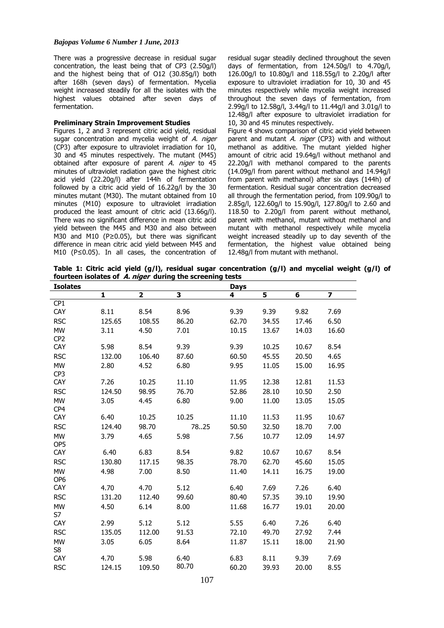# *Bajopas Volume 6 Number 1 June, 2013*

There was a progressive decrease in residual sugar concentration, the least being that of CP3 (2.50g/l) and the highest being that of O12 (30.85g/l) both after 168h (seven days) of fermentation. Mycelia weight increased steadily for all the isolates with the highest values obtained after seven days of fermentation.

### **Preliminary Strain Improvement Studies**

Figures 1, 2 and 3 represent citric acid yield, residual sugar concentration and mycelia weight of A. niger (CP3) after exposure to ultraviolet irradiation for 10, 30 and 45 minutes respectively. The mutant (M45) obtained after exposure of parent A. niger to 45 minutes of ultraviolet radiation gave the highest citric acid yield (22.20g/l) after 144h of fermentation followed by a citric acid yield of 16.22g/l by the 30 minutes mutant (M30). The mutant obtained from 10 minutes (M10) exposure to ultraviolet irradiation produced the least amount of citric acid (13.66g/l). There was no significant difference in mean citric acid yield between the M45 and M30 and also between M30 and M10 (P≥0.05), but there was significant difference in mean citric acid yield between M45 and M10 (P≤0.05). In all cases, the concentration of

residual sugar steadily declined throughout the seven days of fermentation, from 124.50g/l to 4.70g/l, 126.00g/l to 10.80g/l and 118.55g/l to 2.20g/l after exposure to ultraviolet irradiation for 10, 30 and 45 minutes respectively while mycelia weight increased throughout the seven days of fermentation, from 2.99g/l to 12.58g/l, 3.44g/l to 11.44g/l and 3.01g/l to 12.48g/l after exposure to ultraviolet irradiation for 10, 30 and 45 minutes respectively.

Figure 4 shows comparison of citric acid yield between parent and mutant  $A$ . niger (CP3) with and without methanol as additive. The mutant yielded higher amount of citric acid 19.64g/l without methanol and 22.20g/l with methanol compared to the parents (14.09g/l from parent without methanol and 14.94g/l from parent with methanol) after six days (144h) of fermentation. Residual sugar concentration decreased all through the fermentation period, from 109.90g/l to 2.85g/l, 122.60g/l to 15.90g/l, 127.80g/l to 2.60 and 118.50 to 2.20g/l from parent without methanol, parent with methanol, mutant without methanol and mutant with methanol respectively while mycelia weight increased steadily up to day seventh of the fermentation, the highest value obtained being 12.48g/l from mutant with methanol.

**Table 1: Citric acid yield (g/l), residual sugar concentration (g/l) and mycelial weight (g/l) of fourteen isolates of A. niger during the screening tests** 

| <b>Isolates</b> |        |                         |               | <b>Days</b> |       |       |                         |
|-----------------|--------|-------------------------|---------------|-------------|-------|-------|-------------------------|
|                 | 1      | $\overline{\mathbf{2}}$ | 3             | 4           | 5     | 6     | $\overline{\mathbf{z}}$ |
| CP <sub>1</sub> |        |                         |               |             |       |       |                         |
| CAY             | 8.11   | 8.54                    | 8.96          | 9.39        | 9.39  | 9.82  | 7.69                    |
| <b>RSC</b>      | 125.65 | 108.55                  | 86.20         | 62.70       | 34.55 | 17.46 | 6.50                    |
| <b>MW</b>       | 3.11   | 4.50                    | 7.01          | 10.15       | 13.67 | 14.03 | 16.60                   |
| CP <sub>2</sub> |        |                         |               |             |       |       |                         |
| CAY             | 5.98   | 8.54                    | 9.39          | 9.39        | 10.25 | 10.67 | 8.54                    |
| <b>RSC</b>      | 132.00 | 106.40                  | 87.60         | 60.50       | 45.55 | 20.50 | 4.65                    |
| <b>MW</b>       | 2.80   | 4.52                    | 6.80          | 9.95        | 11.05 | 15.00 | 16.95                   |
| CP3             |        |                         |               |             |       |       |                         |
| <b>CAY</b>      | 7.26   | 10.25                   | 11.10         | 11.95       | 12.38 | 12.81 | 11.53                   |
| <b>RSC</b>      | 124.50 | 98.95                   | 76.70         | 52.86       | 28.10 | 10.50 | 2.50                    |
| <b>MW</b>       | 3.05   | 4.45                    | 6.80          | 9.00        | 11.00 | 13.05 | 15.05                   |
| CP4             |        |                         |               |             |       |       |                         |
| CAY             | 6.40   | 10.25                   | 10.25         | 11.10       | 11.53 | 11.95 | 10.67                   |
| <b>RSC</b>      | 124.40 | 98.70                   | 7825          | 50.50       | 32.50 | 18.70 | 7.00                    |
| <b>MW</b>       | 3.79   | 4.65                    | 5.98          | 7.56        | 10.77 | 12.09 | 14.97                   |
| OP <sub>5</sub> |        |                         |               |             |       |       |                         |
| CAY             | 6.40   | 6.83                    | 8.54          | 9.82        | 10.67 | 10.67 | 8.54                    |
| <b>RSC</b>      | 130.80 | 117.15                  | 98.35         | 78.70       | 62.70 | 45.60 | 15.05                   |
| <b>MW</b>       | 4.98   | 7.00                    | 8.50          | 11.40       | 14.11 | 16.75 | 19.00                   |
| OP <sub>6</sub> |        |                         |               |             |       |       |                         |
| CAY             | 4.70   | 4.70                    | 5.12          | 6.40        | 7.69  | 7.26  | 6.40                    |
| <b>RSC</b>      | 131.20 | 112.40                  | 99.60         | 80.40       | 57.35 | 39.10 | 19.90                   |
| <b>MW</b>       | 4.50   | 6.14                    | 8.00          | 11.68       | 16.77 | 19.01 | 20.00                   |
| S7              |        |                         |               |             |       |       |                         |
| CAY             | 2.99   | 5.12                    | 5.12          | 5.55        | 6.40  | 7.26  | 6.40                    |
| <b>RSC</b>      | 135.05 | 112.00                  | 91.53         | 72.10       | 49.70 | 27.92 | 7.44                    |
| <b>MW</b>       | 3.05   | 6.05                    | 8.64          | 11.87       | 15.11 | 18.00 | 21.90                   |
| S8              |        |                         |               |             |       |       |                         |
| <b>CAY</b>      | 4.70   | 5.98                    | 6.40<br>80.70 | 6.83        | 8.11  | 9.39  | 7.69                    |
| <b>RSC</b>      | 124.15 | 109.50                  |               | 60.20       | 39.93 | 20.00 | 8.55                    |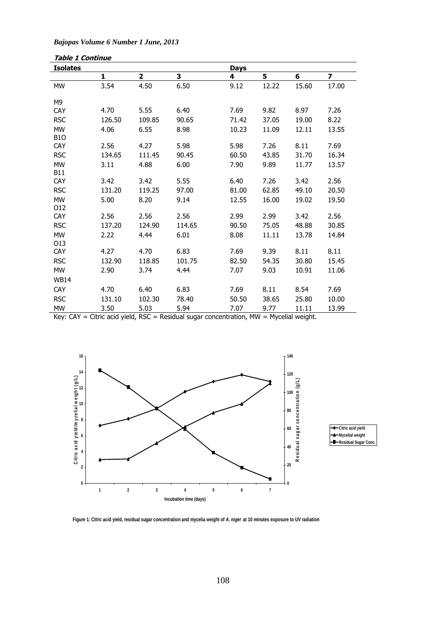| <b>Isolates</b>  |        |        |        | <b>Days</b> |       |       |       |
|------------------|--------|--------|--------|-------------|-------|-------|-------|
|                  | 1      | 2      | 3      | 4           | 5     | 6     | 7     |
| <b>MW</b>        | 3.54   | 4.50   | 6.50   | 9.12        | 12.22 | 15.60 | 17.00 |
|                  |        |        |        |             |       |       |       |
| M9               |        |        |        |             |       |       |       |
| <b>CAY</b>       | 4.70   | 5.55   | 6.40   | 7.69        | 9.82  | 8.97  | 7.26  |
| <b>RSC</b>       | 126.50 | 109.85 | 90.65  | 71.42       | 37.05 | 19.00 | 8.22  |
| <b>MW</b>        | 4.06   | 6.55   | 8.98   | 10.23       | 11.09 | 12.11 | 13.55 |
| B <sub>1</sub> O |        |        |        |             |       |       |       |
| <b>CAY</b>       | 2.56   | 4.27   | 5.98   | 5.98        | 7.26  | 8.11  | 7.69  |
| <b>RSC</b>       | 134.65 | 111.45 | 90.45  | 60.50       | 43.85 | 31.70 | 16.34 |
| <b>MW</b>        | 3.11   | 4.88   | 6.00   | 7.90        | 9.89  | 11.77 | 13.57 |
| <b>B11</b>       |        |        |        |             |       |       |       |
| CAY              | 3.42   | 3.42   | 5.55   | 6.40        | 7.26  | 3.42  | 2.56  |
| <b>RSC</b>       | 131.20 | 119.25 | 97.00  | 81.00       | 62.85 | 49.10 | 20.50 |
| <b>MW</b>        | 5.00   | 8.20   | 9.14   | 12.55       | 16.00 | 19.02 | 19.50 |
| 012              |        |        |        |             |       |       |       |
| <b>CAY</b>       | 2.56   | 2.56   | 2.56   | 2.99        | 2.99  | 3.42  | 2.56  |
| <b>RSC</b>       | 137.20 | 124.90 | 114.65 | 90.50       | 75.05 | 48.88 | 30.85 |
| <b>MW</b>        | 2.22   | 4.44   | 6.01   | 8.08        | 11.11 | 13.78 | 14.84 |
| 013              |        |        |        |             |       |       |       |
| CAY              | 4.27   | 4.70   | 6.83   | 7.69        | 9.39  | 8.11  | 8.11  |
| <b>RSC</b>       | 132.90 | 118.85 | 101.75 | 82.50       | 54.35 | 30.80 | 15.45 |
| <b>MW</b>        | 2.90   | 3.74   | 4.44   | 7.07        | 9.03  | 10.91 | 11.06 |
| <b>WB14</b>      |        |        |        |             |       |       |       |
| <b>CAY</b>       | 4.70   | 6.40   | 6.83   | 7.69        | 8.11  | 8.54  | 7.69  |
| <b>RSC</b>       | 131.10 | 102.30 | 78.40  | 50.50       | 38.65 | 25.80 | 10.00 |
| <b>MW</b>        | 3.50   | 5.03   | 5.94   | 7.07        | 9.77  | 11.11 | 13.99 |

*Bajopas Volume 6 Number 1 June, 2013*

**Table 1 Continue** 

Key: CAY = Citric acid yield, RSC = Residual sugar concentration, MW = Mycelial weight.



**Figure 1: Citric acid yield, residual sugar concentration and mycelia weight of A. niger at 10 minutes exposure to UV radiation**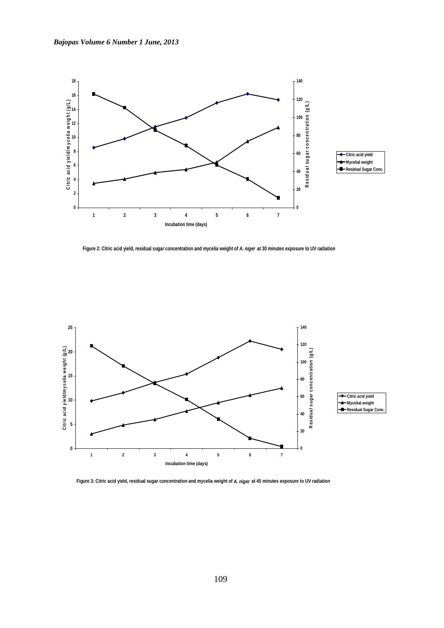



**Figure 2: Citric acid yield, residual sugar concentration and mycelia weight of A. niger at 30 minutes exposure to UV radiation**



**Figure 3: Citric acid yield, residual sugar concentration and mycelia weight of A. niger at 45 minutes exposure to UV radiation**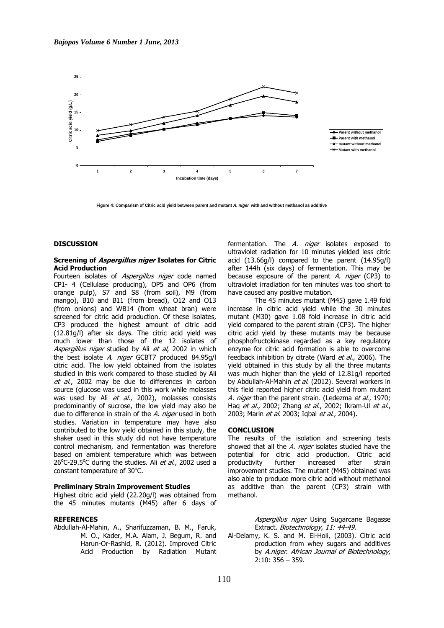

**Figure 4: Comparism of Citric acid yield between parent and mutant A. niger with and without methanol as additive**

### **DISCUSSION**

### **Screening of Aspergillus niger Isolates for Citric Acid Production**

Fourteen isolates of Aspergillus niger code named CP1- 4 (Cellulase producing), OP5 and OP6 (from orange pulp), S7 and S8 (from soil), M9 (from mango), B10 and B11 (from bread), O12 and O13 (from onions) and WB14 (from wheat bran) were screened for citric acid production. Of these isolates, CP3 produced the highest amount of citric acid (12.81g/l) after six days. The citric acid yield was much lower than those of the 12 isolates of Aspergillus niger studied by Ali et al, 2002 in which the best isolate A. niger GCBT7 produced 84.95g/l citric acid. The low yield obtained from the isolates studied in this work compared to those studied by Ali et al., 2002 may be due to differences in carbon source (glucose was used in this work while molasses was used by Ali et al., 2002), molasses consists predominantly of sucrose, the low yield may also be due to difference in strain of the A. niger used in both studies. Variation in temperature may have also contributed to the low yield obtained in this study, the shaker used in this study did not have temperature control mechanism, and fermentation was therefore based on ambient temperature which was between 26 $^{\circ}$ C-29.5 $^{\circ}$ C during the studies. Ali *et al.*, 2002 used a constant temperature of 30°C.

### **Preliminary Strain Improvement Studies**

Highest citric acid yield (22.20g/l) was obtained from the 45 minutes mutants (M45) after 6 days of

# **REFERENCES**

Abdullah-Al-Mahin, A., Sharifuzzaman, B. M., Faruk, M. O., Kader, M.A. Alam, J. Begum, R. and Harun-Or-Rashid, R. (2012). Improved Citric Acid Production by Radiation Mutant fermentation. The A. niger isolates exposed to ultraviolet radiation for 10 minutes yielded less citric acid (13.66g/l) compared to the parent (14.95g/l) after 144h (six days) of fermentation. This may be because exposure of the parent  $A$ . niger (CP3) to ultraviolet irradiation for ten minutes was too short to have caused any positive mutation.

The 45 minutes mutant (M45) gave 1.49 fold increase in citric acid yield while the 30 minutes mutant (M30) gave 1.08 fold increase in citric acid yield compared to the parent strain (CP3). The higher citric acid yield by these mutants may be because phosphofructokinase regarded as a key regulatory enzyme for citric acid formation is able to overcome feedback inhibition by citrate (Ward et al., 2006). The yield obtained in this study by all the three mutants was much higher than the yield of 12.81g/l reported by Abdullah-Al-Mahin et al. (2012). Several workers in this field reported higher citric acid yield from mutant A. niger than the parent strain. (Ledezma et al., 1970; Hag et al., 2002; Zhang et al., 2002; Ikram-Ul et al., 2003; Marin et al. 2003; Igbal et al., 2004).

### **CONCLUSION**

The results of the isolation and screening tests showed that all the A. niger isolates studied have the potential for citric acid production. Citric acid productivity further increased after strain improvement studies. The mutant (M45) obtained was also able to produce more citric acid without methanol as additive than the parent (CP3) strain with methanol.

> Aspergillus niger Using Sugarcane Bagasse Extract. Biotechnology, 11: 44-49.

Al-Delamy, K. S. and M. El-Holi, (2003). Citric acid production from whey sugars and additives by A.niger. African Journal of Biotechnology, 2:10: 356 – 359.